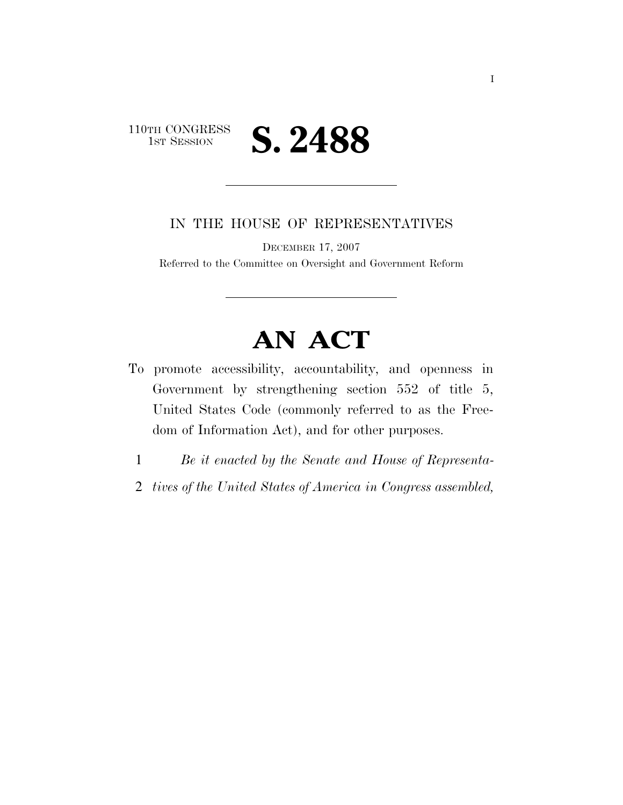### 110TH CONGRESS<br>1st Session 1ST SESSION **S. 2488**

IN THE HOUSE OF REPRESENTATIVES

DECEMBER 17, 2007

Referred to the Committee on Oversight and Government Reform

# **AN ACT**

- To promote accessibility, accountability, and openness in Government by strengthening section 552 of title 5, United States Code (commonly referred to as the Freedom of Information Act), and for other purposes.
	- 1 *Be it enacted by the Senate and House of Representa-*
	- 2 *tives of the United States of America in Congress assembled,*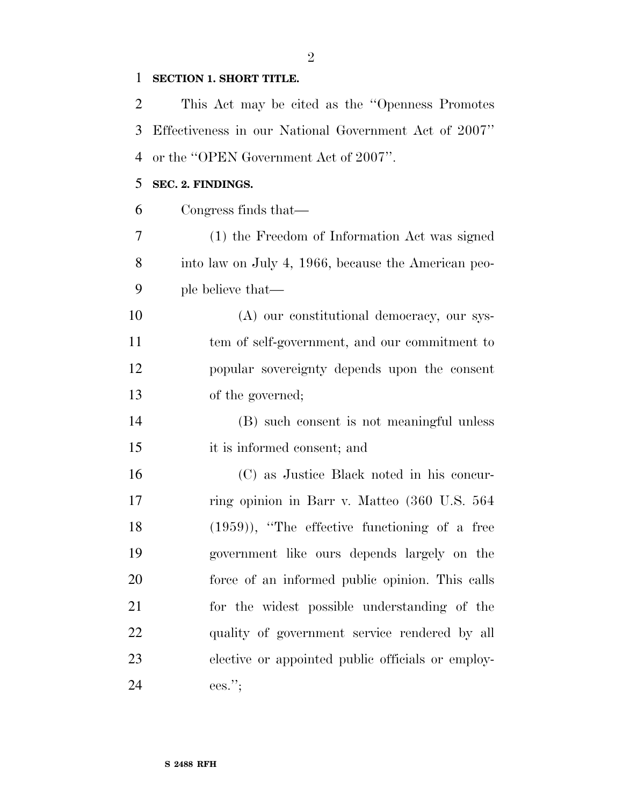#### **SECTION 1. SHORT TITLE.**

 This Act may be cited as the ''Openness Promotes Effectiveness in our National Government Act of 2007'' or the ''OPEN Government Act of 2007''.

#### **SEC. 2. FINDINGS.**

| 6  | Congress finds that—                                |
|----|-----------------------------------------------------|
| 7  | (1) the Freedom of Information Act was signed       |
| 8  | into law on July 4, 1966, because the American peo- |
| 9  | ple believe that—                                   |
| 10 | (A) our constitutional democracy, our sys-          |
| 11 | tem of self-government, and our commitment to       |
| 12 | popular sovereignty depends upon the consent        |
| 13 | of the governed;                                    |
| 14 | (B) such consent is not meaningful unless           |
| 15 | it is informed consent; and                         |
| 16 | (C) as Justice Black noted in his concur-           |
| 17 | ring opinion in Barr v. Matteo (360 U.S. 564        |
| 18 | $(1959)$ , "The effective functioning of a free     |
| 19 | government like ours depends largely on the         |
| 20 | force of an informed public opinion. This calls     |
| 21 | for the widest possible understanding of the        |
| 22 | quality of government service rendered by all       |
| 23 | elective or appointed public officials or employ-   |
| 24 | $ees.'$ ;                                           |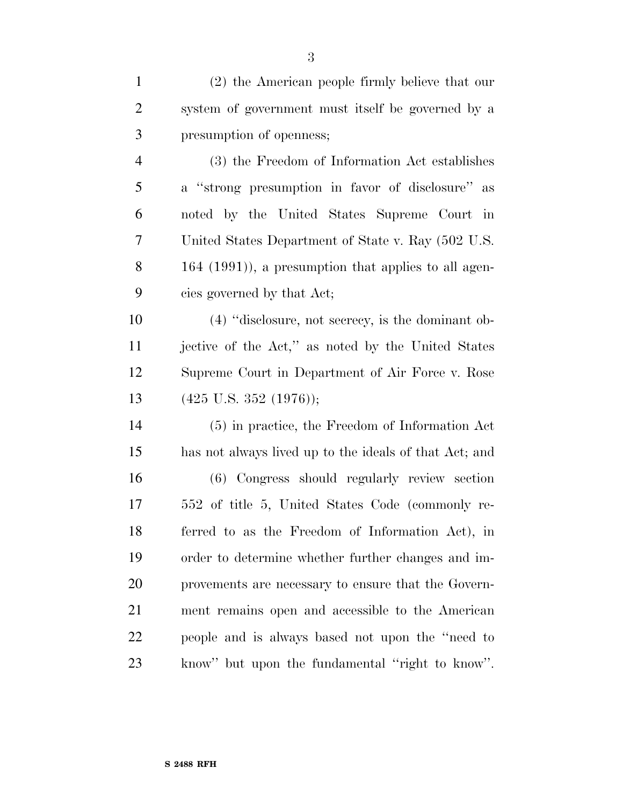| $\mathbf{1}$   | (2) the American people firmly believe that our          |
|----------------|----------------------------------------------------------|
| $\overline{2}$ | system of government must itself be governed by a        |
| 3              | presumption of openness;                                 |
| $\overline{4}$ | (3) the Freedom of Information Act establishes           |
| 5              | a "strong presumption in favor of disclosure" as         |
| 6              | noted by the United States Supreme Court in              |
| 7              | United States Department of State v. Ray (502 U.S.       |
| 8              | $164$ $(1991)$ , a presumption that applies to all agen- |
| 9              | cies governed by that Act;                               |
| 10             | $(4)$ "disclosure, not secrecy, is the dominant ob-      |
| 11             | jective of the Act," as noted by the United States       |
| 12             | Supreme Court in Department of Air Force v. Rose         |
| 13             | $(425 \text{ U.S. } 352 \text{ (}1976))$ ;               |
| 14             | (5) in practice, the Freedom of Information Act          |
| 15             | has not always lived up to the ideals of that Act; and   |
| 16             | (6) Congress should regularly review section             |
| 17             | 552 of title 5, United States Code (commonly re-         |
| 18             | ferred to as the Freedom of Information Act), in         |
| 19             | order to determine whether further changes and im-       |
| 20             | provements are necessary to ensure that the Govern-      |
| 21             | ment remains open and accessible to the American         |
| 22             | people and is always based not upon the "need to"        |
| 23             | know" but upon the fundamental "right to know".          |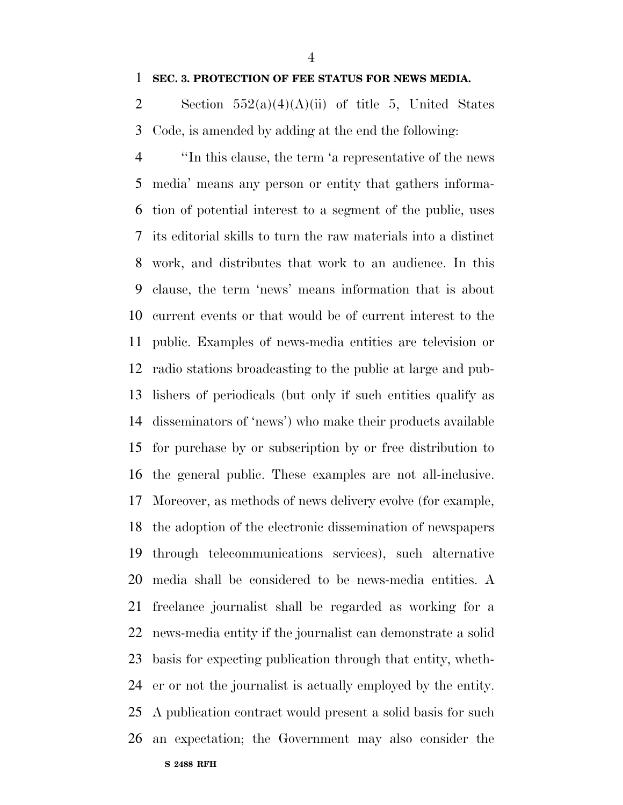#### **SEC. 3. PROTECTION OF FEE STATUS FOR NEWS MEDIA.**

2 Section  $552(a)(4)(A)(ii)$  of title 5, United States Code, is amended by adding at the end the following:

**S 2488 RFH** ''In this clause, the term 'a representative of the news media' means any person or entity that gathers informa- tion of potential interest to a segment of the public, uses its editorial skills to turn the raw materials into a distinct work, and distributes that work to an audience. In this clause, the term 'news' means information that is about current events or that would be of current interest to the public. Examples of news-media entities are television or radio stations broadcasting to the public at large and pub- lishers of periodicals (but only if such entities qualify as disseminators of 'news') who make their products available for purchase by or subscription by or free distribution to the general public. These examples are not all-inclusive. Moreover, as methods of news delivery evolve (for example, the adoption of the electronic dissemination of newspapers through telecommunications services), such alternative media shall be considered to be news-media entities. A freelance journalist shall be regarded as working for a news-media entity if the journalist can demonstrate a solid basis for expecting publication through that entity, wheth- er or not the journalist is actually employed by the entity. A publication contract would present a solid basis for such an expectation; the Government may also consider the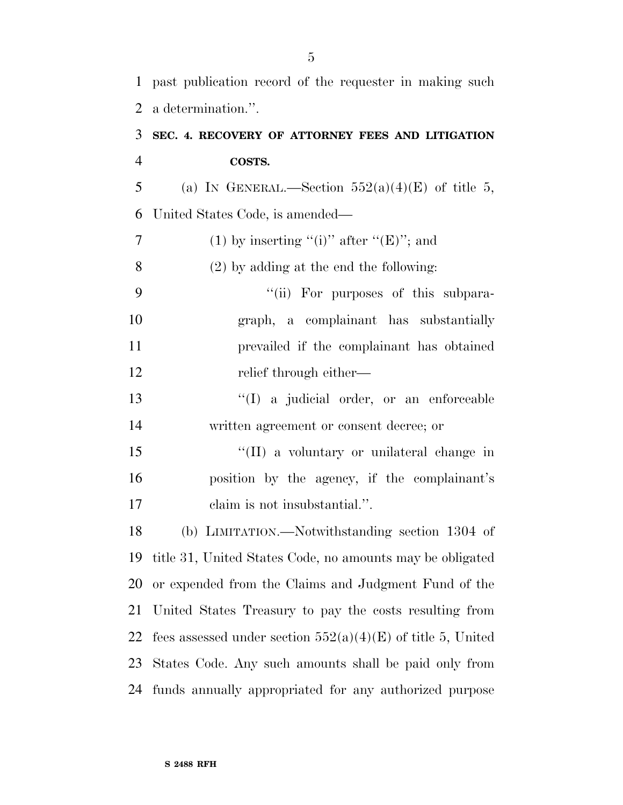past publication record of the requester in making such a determination.''.

### **SEC. 4. RECOVERY OF ATTORNEY FEES AND LITIGATION COSTS.**

5 (a) IN GENERAL.—Section  $552(a)(4)(E)$  of title 5, United States Code, is amended—

7 (1) by inserting "(i)" after " $(E)$ "; and (2) by adding at the end the following: 9 "(ii) For purposes of this subpara- graph, a complainant has substantially prevailed if the complainant has obtained 12 relief through either— ''(I) a judicial order, or an enforceable written agreement or consent decree; or 15 "(II) a voluntary or unilateral change in position by the agency, if the complainant's claim is not insubstantial.''. (b) LIMITATION.—Notwithstanding section 1304 of title 31, United States Code, no amounts may be obligated or expended from the Claims and Judgment Fund of the United States Treasury to pay the costs resulting from 22 fees assessed under section  $552(a)(4)(E)$  of title 5, United States Code. Any such amounts shall be paid only from funds annually appropriated for any authorized purpose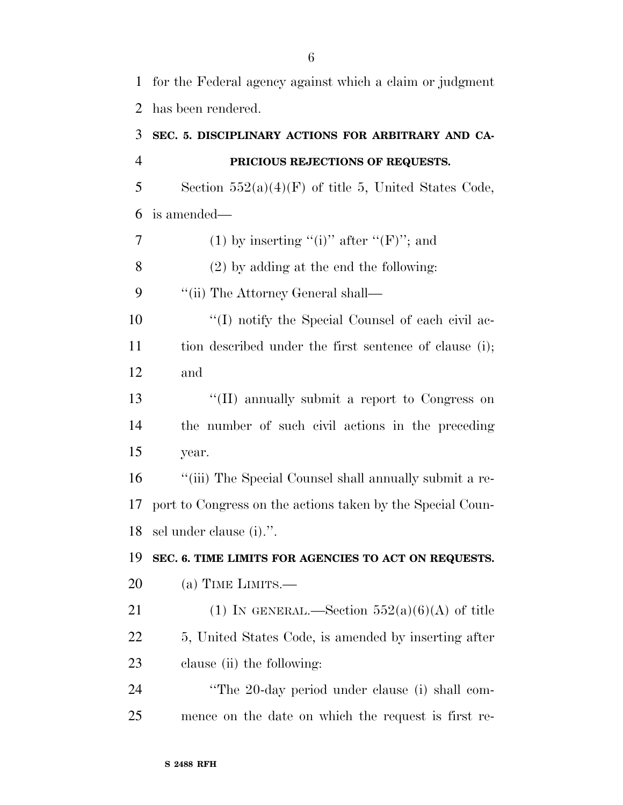for the Federal agency against which a claim or judgment has been rendered.

## **SEC. 5. DISCIPLINARY ACTIONS FOR ARBITRARY AND CA-PRICIOUS REJECTIONS OF REQUESTS.**

5 Section  $552(a)(4)(F)$  of title 5, United States Code, is amended—

7 (1) by inserting "(i)" after " $(F)$ "; and

(2) by adding at the end the following:

9 ''(ii) The Attorney General shall—

10  $\langle (I) \rangle$  notify the Special Counsel of each civil ac-11 tion described under the first sentence of clause (i); and

 ''(II) annually submit a report to Congress on the number of such civil actions in the preceding year.

 ''(iii) The Special Counsel shall annually submit a re- port to Congress on the actions taken by the Special Coun-sel under clause (i).''.

#### **SEC. 6. TIME LIMITS FOR AGENCIES TO ACT ON REQUESTS.**

(a) TIME LIMITS.—

21 (1) IN GENERAL.—Section  $552(a)(6)(A)$  of title 22 5, United States Code, is amended by inserting after clause (ii) the following:

 ''The 20-day period under clause (i) shall com-mence on the date on which the request is first re-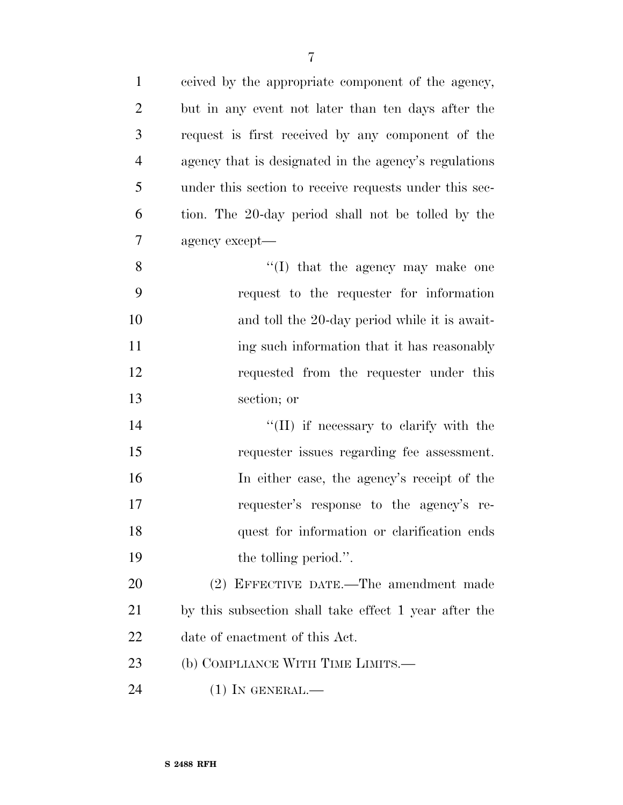| $\mathbf{1}$   | ceived by the appropriate component of the agency,     |
|----------------|--------------------------------------------------------|
| $\overline{2}$ | but in any event not later than ten days after the     |
| 3              | request is first received by any component of the      |
| $\overline{4}$ | agency that is designated in the agency's regulations  |
| 5              | under this section to receive requests under this sec- |
| 6              | tion. The 20-day period shall not be tolled by the     |
| $\tau$         | agency except—                                         |
| 8              | $\lq\lq$ that the agency may make one                  |
| 9              | request to the requester for information               |
| 10             | and toll the 20-day period while it is await-          |
| 11             | ing such information that it has reasonably            |
| 12             | requested from the requester under this                |
| 13             | section; or                                            |
| 14             | "(II) if necessary to clarify with the                 |
| 15             | requester issues regarding fee assessment.             |
| 16             | In either case, the agency's receipt of the            |
| 17             | requester's response to the agency's re-               |
| 18             | quest for information or clarification ends            |
| 19             | the tolling period.".                                  |
| 20             | (2) EFFECTIVE DATE.—The amendment made                 |
| 21             | by this subsection shall take effect 1 year after the  |
| 22             | date of enactment of this Act.                         |
| 23             | (b) COMPLIANCE WITH TIME LIMITS.—                      |
| 24             | $(1)$ In GENERAL.—                                     |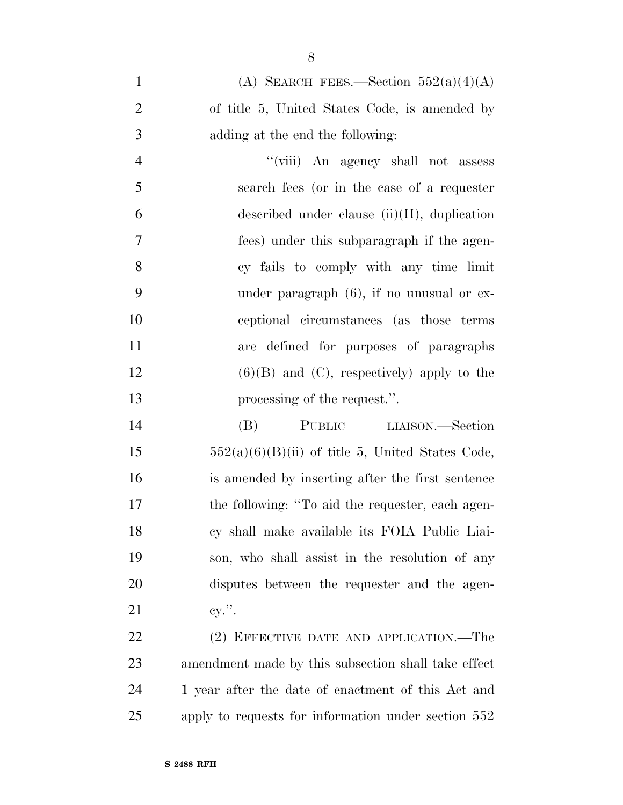| $\mathbf{1}$   | (A) SEARCH FEES.—Section $552(a)(4)(A)$         |
|----------------|-------------------------------------------------|
| 2              | of title 5, United States Code, is amended by   |
| 3              | adding at the end the following:                |
| $\overline{4}$ | "(viii) An agency shall not assess              |
| $\overline{5}$ | search fees (or in the case of a requester      |
| 6              | described under clause $(ii)(II)$ , duplication |
| 7              | fees) under this subparagraph if the agen-      |
| 8              | cy fails to comply with any time limit          |
| 9              | under paragraph $(6)$ , if no unusual or ex-    |
|                |                                                 |

 ceptional circumstances (as those terms are defined for purposes of paragraphs 12 (6)(B) and (C), respectively) apply to the processing of the request.''.

 (B) PUBLIC LIAISON.—Section  $552(a)(6)(B)(ii)$  of title 5, United States Code, is amended by inserting after the first sentence 17 the following: "To aid the requester, each agen- cy shall make available its FOIA Public Liai- son, who shall assist in the resolution of any disputes between the requester and the agen-21 cy.".

22 (2) EFFECTIVE DATE AND APPLICATION.—The amendment made by this subsection shall take effect 24 1 year after the date of enactment of this Act and apply to requests for information under section 552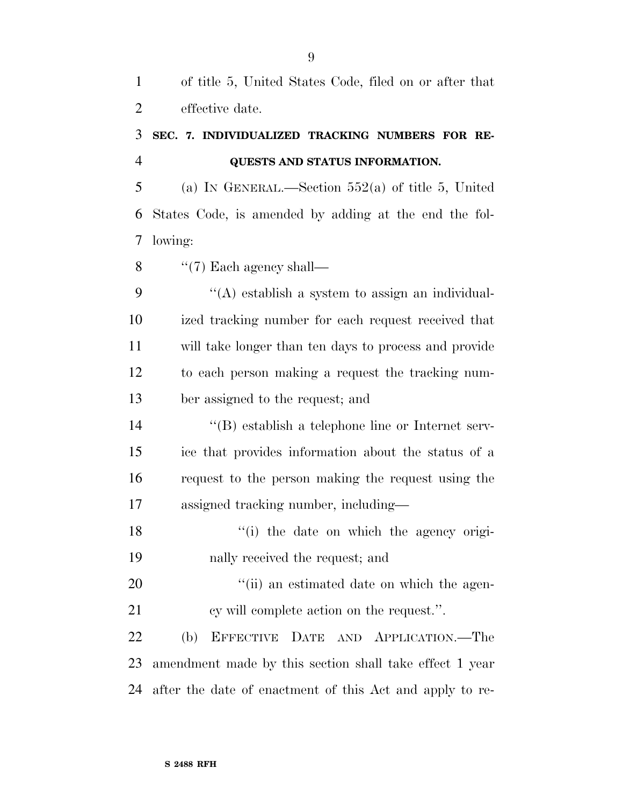of title 5, United States Code, filed on or after that effective date.

### **SEC. 7. INDIVIDUALIZED TRACKING NUMBERS FOR RE-QUESTS AND STATUS INFORMATION.**

 (a) IN GENERAL.—Section 552(a) of title 5, United States Code, is amended by adding at the end the fol-lowing:

8  $\cdot$  "(7) Each agency shall—

 ''(A) establish a system to assign an individual- ized tracking number for each request received that will take longer than ten days to process and provide to each person making a request the tracking num-ber assigned to the request; and

 ''(B) establish a telephone line or Internet serv- ice that provides information about the status of a request to the person making the request using the assigned tracking number, including—

18 ''(i) the date on which the agency origi-nally received the request; and

20  $\frac{1}{1}$  (ii) an estimated date on which the agen-21 cy will complete action on the request.".

 (b) EFFECTIVE DATE AND APPLICATION.—The amendment made by this section shall take effect 1 year after the date of enactment of this Act and apply to re-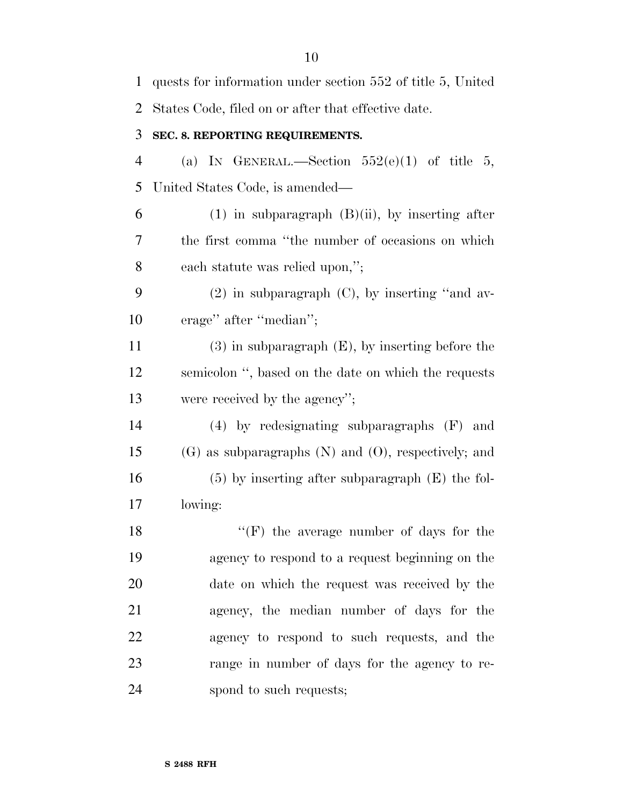| $\mathbf{1}$   | quests for information under section 552 of title 5, United |
|----------------|-------------------------------------------------------------|
| 2              | States Code, filed on or after that effective date.         |
| 3              | SEC. 8. REPORTING REQUIREMENTS.                             |
| $\overline{4}$ | (a) IN GENERAL.—Section $552(e)(1)$ of title 5,             |
| 5              | United States Code, is amended—                             |
| 6              | $(1)$ in subparagraph $(B)(ii)$ , by inserting after        |
| 7              | the first comma "the number of occasions on which           |
| 8              | each statute was relied upon,";                             |
| 9              | $(2)$ in subparagraph $(C)$ , by inserting "and av-         |
| 10             | erage" after "median";                                      |
| 11             | $(3)$ in subparagraph $(E)$ , by inserting before the       |
| 12             | semicolon ", based on the date on which the requests        |
| 13             | were received by the agency";                               |
| 14             | $(4)$ by redesignating subparagraphs $(F)$ and              |
| 15             | $(G)$ as subparagraphs $(N)$ and $(O)$ , respectively; and  |
| 16             | $(5)$ by inserting after subparagraph $(E)$ the fol-        |
| 17             | lowing:                                                     |
| 18             | $\lq\lq (F)$ the average number of days for the             |
| 19             | agency to respond to a request beginning on the             |
| 20             | date on which the request was received by the               |
| 21             | agency, the median number of days for the                   |
| 22             | agency to respond to such requests, and the                 |
| 23             | range in number of days for the agency to re-               |
| 24             | spond to such requests;                                     |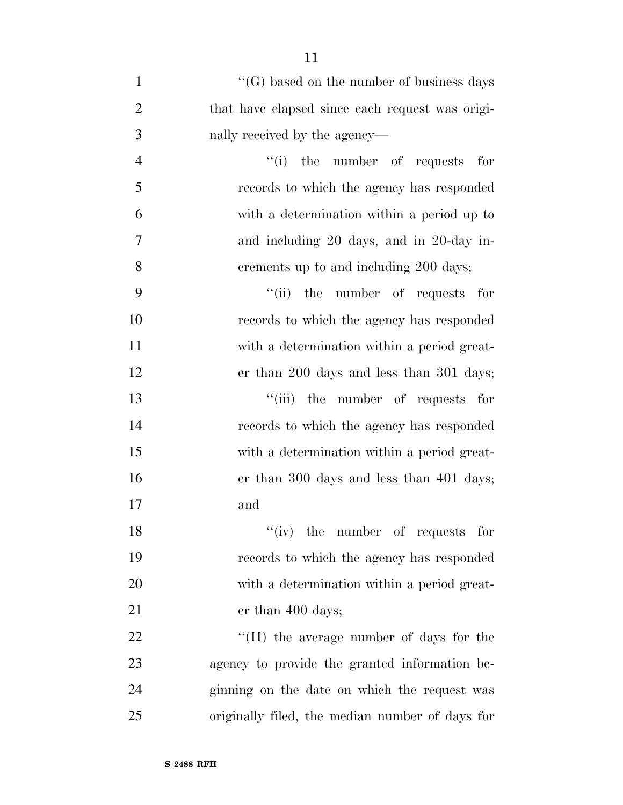| $\mathbf{1}$   | $\lq\lq(G)$ based on the number of business days |
|----------------|--------------------------------------------------|
| $\overline{2}$ | that have elapsed since each request was origi-  |
| 3              | nally received by the agency—                    |
| $\overline{4}$ | "(i) the number of requests for                  |
| 5              | records to which the agency has responded        |
| 6              | with a determination within a period up to       |
| $\tau$         | and including 20 days, and in 20-day in-         |
| 8              | crements up to and including 200 days;           |
| 9              | "(ii) the number of requests for                 |
| 10             | records to which the agency has responded        |
| 11             | with a determination within a period great-      |
| 12             | er than 200 days and less than 301 days;         |
| 13             | "(iii) the number of requests for                |
| 14             | records to which the agency has responded        |
| 15             | with a determination within a period great-      |
| 16             | er than 300 days and less than 401 days;         |
| 17             | and                                              |
| 18             | $``(iv)$ the number of requests for              |
| 19             | records to which the agency has responded        |
| 20             | with a determination within a period great-      |
| 21             | er than 400 days;                                |
| 22             | $\rm{``(H)}$ the average number of days for the  |
| 23             | agency to provide the granted information be-    |
| 24             | ginning on the date on which the request was     |
| 25             | originally filed, the median number of days for  |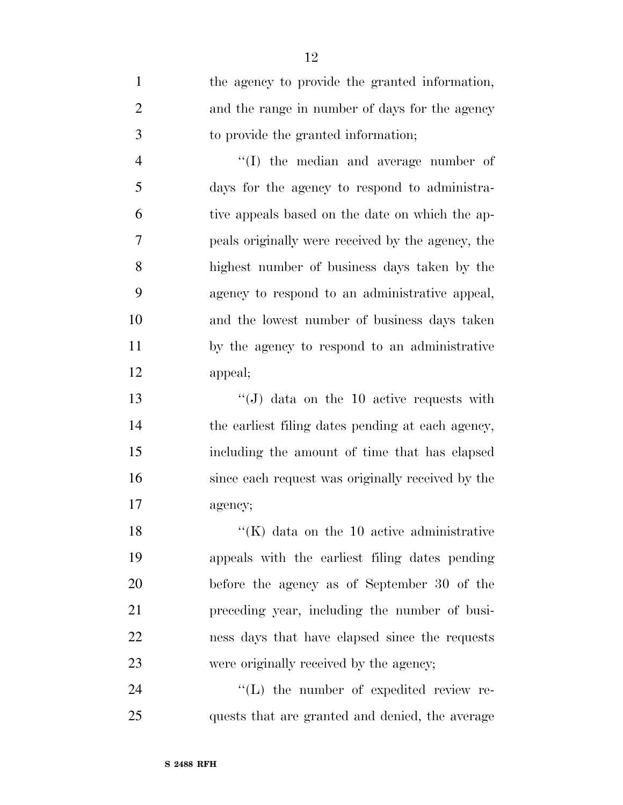| $\mathbf{1}$   | the agency to provide the granted information,    |
|----------------|---------------------------------------------------|
| $\overline{2}$ | and the range in number of days for the agency    |
| 3              | to provide the granted information;               |
| $\overline{4}$ | $\lq\lq$ the median and average number of         |
| 5              | days for the agency to respond to administra-     |
| 6              | tive appeals based on the date on which the ap-   |
| 7              | peals originally were received by the agency, the |
| 8              | highest number of business days taken by the      |
| 9              | agency to respond to an administrative appeal,    |
| 10             | and the lowest number of business days taken      |
| 11             | by the agency to respond to an administrative     |
| 12             | appeal;                                           |
| 13             | "(J) data on the 10 active requests with          |
| 14             | the earliest filing dates pending at each agency, |
| 15             | including the amount of time that has elapsed     |
| 16             | since each request was originally received by the |
| 17             | agency;                                           |
| 18             | $\lq\lq$ (K) data on the 10 active administrative |
| 19             | appeals with the earliest filing dates pending    |
| 20             | before the agency as of September 30 of the       |
| 21             | preceding year, including the number of busi-     |
| 22             | ness days that have elapsed since the requests    |
| 23             | were originally received by the agency;           |
| 24             | $\lq\lq$ . The number of expedited review re-     |

quests that are granted and denied, the average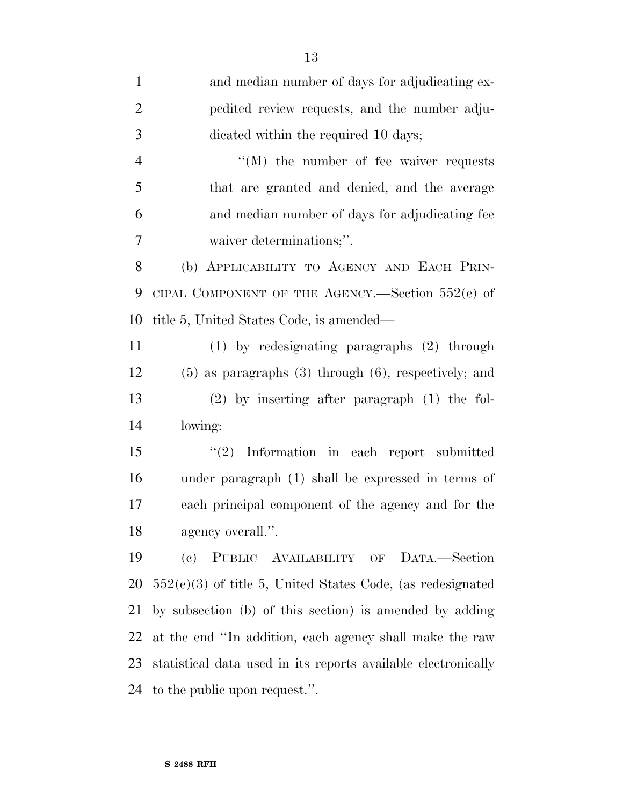| $\mathbf{1}$   | and median number of days for adjudicating ex-                |
|----------------|---------------------------------------------------------------|
| $\overline{2}$ | pedited review requests, and the number adju-                 |
| 3              | dicated within the required 10 days;                          |
| $\overline{4}$ | $\lq\lq (M)$ the number of fee waiver requests                |
| 5              | that are granted and denied, and the average                  |
| 6              | and median number of days for adjudicating fee                |
| 7              | waiver determinations;".                                      |
| 8              | (b) APPLICABILITY TO AGENCY AND EACH PRIN-                    |
| 9              | CIPAL COMPONENT OF THE AGENCY.—Section $552(e)$ of            |
| 10             | title 5, United States Code, is amended—                      |
| 11             | $(1)$ by redesignating paragraphs $(2)$ through               |
| 12             | $(5)$ as paragraphs $(3)$ through $(6)$ , respectively; and   |
| 13             | $(2)$ by inserting after paragraph $(1)$ the fol-             |
| 14             | lowing:                                                       |
| 15             | $(2)$ Information in each report submitted                    |
| 16             | under paragraph (1) shall be expressed in terms of            |
| 17             | each principal component of the agency and for the            |
| 18             | agency overall.".                                             |
| 19             | (c) PUBLIC AVAILABILITY OF DATA.-Section                      |
| 20             | $552(e)(3)$ of title 5, United States Code, (as redesignated  |
| 21             | by subsection (b) of this section) is amended by adding       |
| 22             | at the end "In addition, each agency shall make the raw       |
| 23             | statistical data used in its reports available electronically |
| 24             | to the public upon request.".                                 |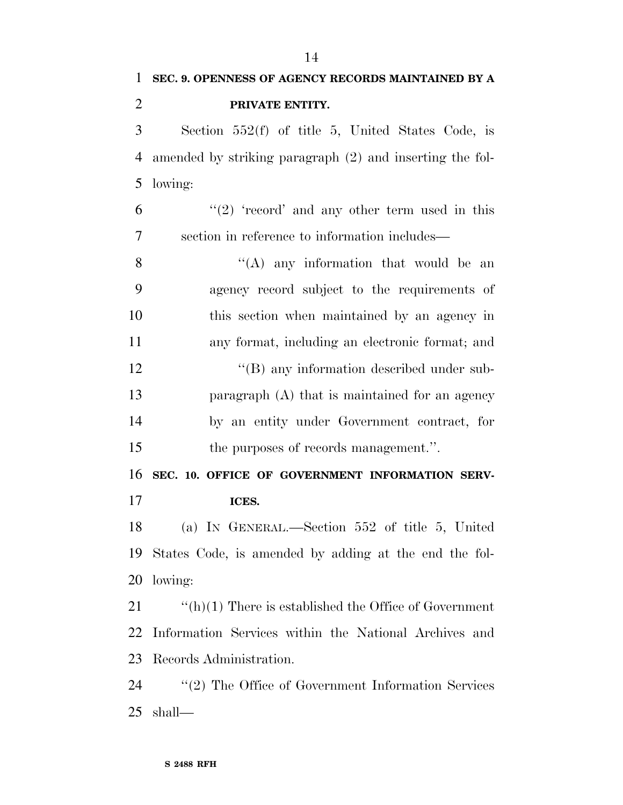| 1              | SEC. 9. OPENNESS OF AGENCY RECORDS MAINTAINED BY A           |
|----------------|--------------------------------------------------------------|
| $\overline{2}$ | PRIVATE ENTITY.                                              |
| 3              | Section 552(f) of title 5, United States Code, is            |
| $\overline{4}$ | amended by striking paragraph (2) and inserting the fol-     |
| 5              | lowing:                                                      |
| 6              | " $(2)$ 'record' and any other term used in this             |
| 7              | section in reference to information includes—                |
| 8              | $\lq\lq$ any information that would be an                    |
| 9              | agency record subject to the requirements of                 |
| 10             | this section when maintained by an agency in                 |
| 11             | any format, including an electronic format; and              |
| 12             | "(B) any information described under sub-                    |
| 13             | paragraph (A) that is maintained for an agency               |
| 14             | by an entity under Government contract, for                  |
| 15             | the purposes of records management.".                        |
| 16             | SEC. 10. OFFICE OF GOVERNMENT INFORMATION SERV-              |
| 17             | ICES.                                                        |
| 18             | (a) IN GENERAL.—Section 552 of title 5, United               |
| 19             | States Code, is amended by adding at the end the fol-        |
| 20             | lowing:                                                      |
| 21             | $\lq\lq(h)(1)$ There is established the Office of Government |
| 22             | Information Services within the National Archives and        |
| 23             | Records Administration.                                      |
| 24             | $\lq(2)$ The Office of Government Information Services       |
| 25             | shall—                                                       |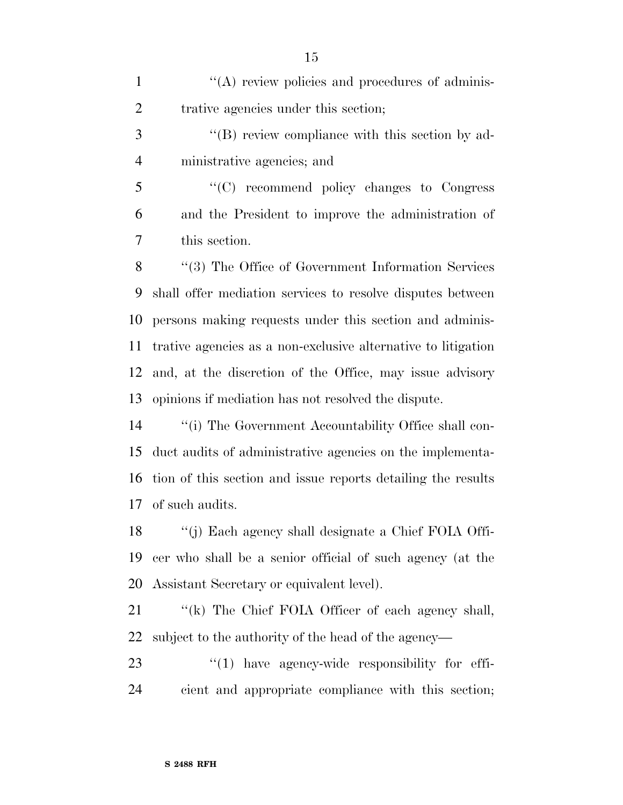| $\mathbf{1}$   | "(A) review policies and procedures of adminis-               |
|----------------|---------------------------------------------------------------|
| $\overline{2}$ | trative agencies under this section;                          |
| 3              | "(B) review compliance with this section by ad-               |
| $\overline{4}$ | ministrative agencies; and                                    |
| 5              | "(C) recommend policy changes to Congress                     |
| 6              | and the President to improve the administration of            |
| 7              | this section.                                                 |
| 8              | "(3) The Office of Government Information Services            |
| 9              | shall offer mediation services to resolve disputes between    |
| 10             | persons making requests under this section and adminis-       |
| 11             | trative agencies as a non-exclusive alternative to litigation |
| 12             | and, at the discretion of the Office, may issue advisory      |
| 13             | opinions if mediation has not resolved the dispute.           |
| 14             | "(i) The Government Accountability Office shall con-          |
| 15             | duct audits of administrative agencies on the implementa-     |
| 16             | tion of this section and issue reports detailing the results  |
| 17             | of such audits.                                               |
| 18             | "(j) Each agency shall designate a Chief FOIA Offi-           |
| 19             | cer who shall be a senior official of such agency (at the     |
| 20             | Assistant Secretary or equivalent level).                     |
| 21             | "(k) The Chief FOIA Officer of each agency shall,             |
| 22             | subject to the authority of the head of the agency—           |
| 23             | $"(1)$ have agency-wide responsibility for effi-              |
| 24             | cient and appropriate compliance with this section;           |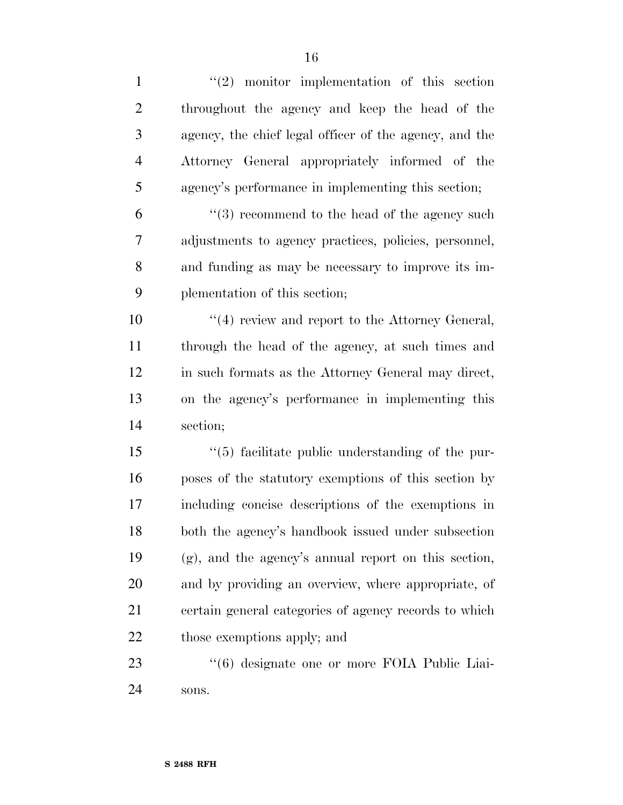| $\mathbf{1}$   | $(2)$ monitor implementation of this section           |
|----------------|--------------------------------------------------------|
| $\overline{2}$ | throughout the agency and keep the head of the         |
| 3              | agency, the chief legal officer of the agency, and the |
| $\overline{4}$ | Attorney General appropriately informed of the         |
| 5              | agency's performance in implementing this section;     |
| 6              | $(3)$ recommend to the head of the agency such         |
| 7              | adjustments to agency practices, policies, personnel,  |
| 8              | and funding as may be necessary to improve its im-     |
| 9              | plementation of this section;                          |
| 10             | "(4) review and report to the Attorney General,        |
| 11             | through the head of the agency, at such times and      |
| 12             | in such formats as the Attorney General may direct,    |
| 13             | on the agency's performance in implementing this       |
| 14             | section;                                               |
| 15             | "(5) facilitate public understanding of the pur-       |
| 16             | poses of the statutory exemptions of this section by   |
| 17             | including concise descriptions of the exemptions in    |
| 18             | both the agency's handbook issued under subsection     |
| 19             | (g), and the agency's annual report on this section,   |
| 20             | and by providing an overview, where appropriate, of    |
| 21             | certain general categories of agency records to which  |
| 22             | those exemptions apply; and                            |
| 23             | "(6) designate one or more FOIA Public Liai-           |
| 24             | sons.                                                  |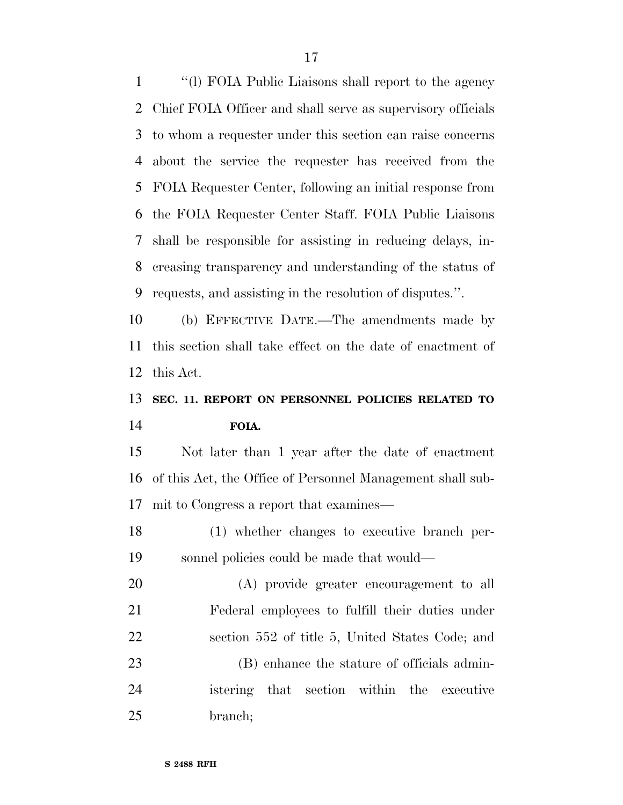''(l) FOIA Public Liaisons shall report to the agency Chief FOIA Officer and shall serve as supervisory officials to whom a requester under this section can raise concerns about the service the requester has received from the FOIA Requester Center, following an initial response from the FOIA Requester Center Staff. FOIA Public Liaisons shall be responsible for assisting in reducing delays, in- creasing transparency and understanding of the status of requests, and assisting in the resolution of disputes.''.

 (b) EFFECTIVE DATE.—The amendments made by this section shall take effect on the date of enactment of this Act.

## **SEC. 11. REPORT ON PERSONNEL POLICIES RELATED TO FOIA.**

 Not later than 1 year after the date of enactment of this Act, the Office of Personnel Management shall sub-mit to Congress a report that examines—

 (1) whether changes to executive branch per-sonnel policies could be made that would—

 (A) provide greater encouragement to all Federal employees to fulfill their duties under section 552 of title 5, United States Code; and (B) enhance the stature of officials admin- istering that section within the executive branch;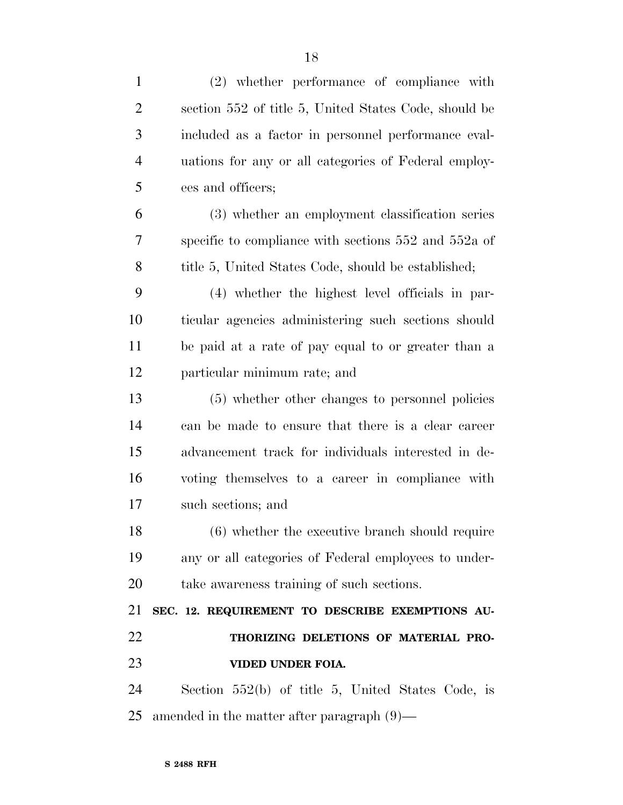| $\mathbf{1}$   | (2) whether performance of compliance with               |
|----------------|----------------------------------------------------------|
| $\overline{2}$ | section 552 of title 5, United States Code, should be    |
| 3              | included as a factor in personnel performance eval-      |
| $\overline{4}$ | uations for any or all categories of Federal employ-     |
| 5              | ees and officers;                                        |
| 6              | (3) whether an employment classification series          |
| 7              | specific to compliance with sections $552$ and $552a$ of |
| 8              | title 5, United States Code, should be established;      |
| 9              | (4) whether the highest level officials in par-          |
| 10             | ticular agencies administering such sections should      |
| 11             | be paid at a rate of pay equal to or greater than a      |
| 12             | particular minimum rate; and                             |
| 13             | (5) whether other changes to personnel policies          |
| 14             | can be made to ensure that there is a clear career       |
| 15             | advancement track for individuals interested in de-      |
| 16             | voting themselves to a career in compliance with         |
| 17             | such sections; and                                       |
| 18             | (6) whether the executive branch should require          |
| 19             | any or all categories of Federal employees to under-     |
| 20             | take awareness training of such sections.                |
| 21             | SEC. 12. REQUIREMENT TO DESCRIBE EXEMPTIONS AU-          |
| 22             | THORIZING DELETIONS OF MATERIAL PRO-                     |
| 23             | VIDED UNDER FOIA.                                        |
| 24             | Section $552(b)$ of title 5, United States Code, is      |
| 25             | amended in the matter after paragraph $(9)$ —            |